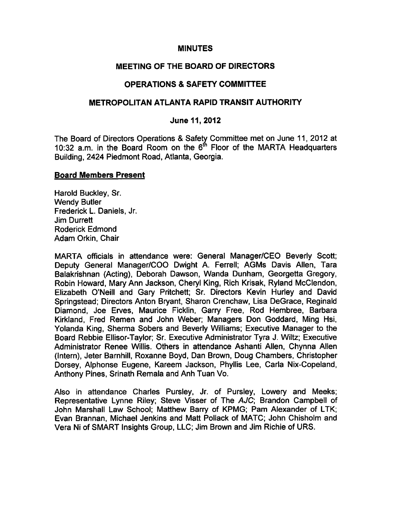### MINUTES

### MEETING OF THE BOARD OF DIRECTORS

# OPERATIONS SAFETY COMMITTEE

### METROPOLITAN ATLANTA RAPID TRANSIT AUTHORITY

### June 11, 2012

The Board of Directors Operations & Safety Committee met on June 11, 2012 at 10:32 a.m. in the Board Room on the  $6<sup>th</sup>$  Floor of the MARTA Headquarters Building, 2424 Piedmont Road, Atlanta, Georgia.

#### Board Members Present

Harold Buckley, Sr. Wendy Butler Frederick L. Daniels, Jr. Jim Durrett Roderick Edmond Adam Orkin, Chair

MARTA officials in attendance were: General Manager/CEO Beverly Scott; Deputy General Manager/COO Dwight A. Ferrell; AGMs Davis Allen, Tara Balakrishnan (Acting), Deborah Dawson, Wanda Dunham, Georgetta Gregory, Robin Howard, Mary Ann Jackson, Cheryl King, Rich Krisak, Ryland McClendon, Elizabeth O'Neill and Gary Pritchett; Sr. Directors Kevin Hurley and David Springstead; Directors Anton Bryant, Sharon Crenchaw, Lisa DeGrace, Reginald Diamond, Joe Erves, Maurice Ficklin, Garry Free, Rod Hembree, Barbara Kirkland, Fred Remen and John Weber; Managers Don Goddard, Ming Hsi, Yolanda King, Sherma Sobers and Beverly Williams; Executive Manager to the Board Rebbie Ellisor-Taylor; Sr. Executive Administrator Tyra J. Wiltz; Executive Administrator Renee Willis. Others in attendance Ashanti Allen, Chynna Allen (Intern), Jeter Barnhill, Roxanne Boyd, Dan Brown, Doug Chambers, Christopher Dorsey, Alphonse Eugene, Kareem Jackson, Phyllis Lee, Carla Nix-Copeland, Anthony Pines, Srinath Remala and Anh Tuan Vo.

Also in attendance Charles Pursley, Jr. of Pursley, Lowery and Meeks; Representative Lynne Riley; Steve Visser of The AJC; Brandon Campbell of John Marshall Law School; Matthew Barry of KPMG; Pam Alexander of LTK; Evan Brannan, Michael Jenkins and Matt Pollack of MATC; John Chisholm and Vera Ni of SMART Insights Group, LLC; Jim Brown and Jim Richie of URS.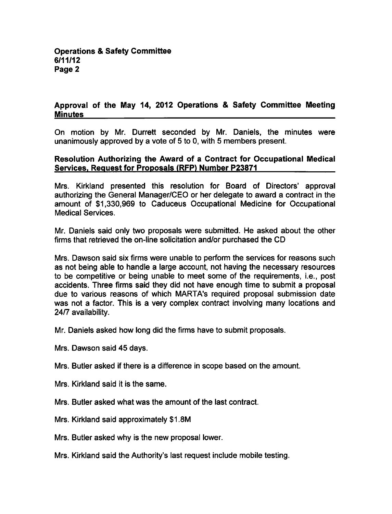# Approval of the May 14, 2012 Operations & Safety Committee Meeting **Minutes**

On motion by Mr. Durrett seconded by Mr. Daniels, the minutes were unanimously approved by a vote of  $5$  to 0, with  $5$  members present.

### Resolution Authorizing the Award of a Contract for Occupational Medical Services. Request for Proposals (RFP) Number P23871

Mrs. Kirkland presented this resolution for Board of Directors' approval authorizing the General Manager/CEO or her delegate to award a contract in the amount of \$1,330,969 to Caduceus Occupational Medicine for Occupational Medical Services.

Mr. Daniels said only two proposals were submitted. He asked about the other firms that retrieved the on-line solicitation and/or purchased the CD

Mrs. Dawson said six firms were unable to perform the services for reasons such as not being able to handle a large account, not having the necessary resources to be competitive or being unable to meet some of the requirements, i.e., post accidents. Three firms said they did not have enough time to submit a proposal due to various reasons of which MARTA's required proposal submission date was not a factor. This is a very complex contract involving many locations and 24/7 availability.

Mr. Daniels asked how long did the firms have to submit proposals.

Mrs. Dawson said 45 days.

Mrs. Butler asked if there is a difference in scope based on the amount.

Mrs. Kirkland said it is the same.

Mrs. Butler asked what was the amount of the last contract.

Mrs. Kirkland said approximately \$1.8M

Mrs. Butler asked why is the new proposal lower.

Mrs. Kirkland said the Authority's last request include mobile testing.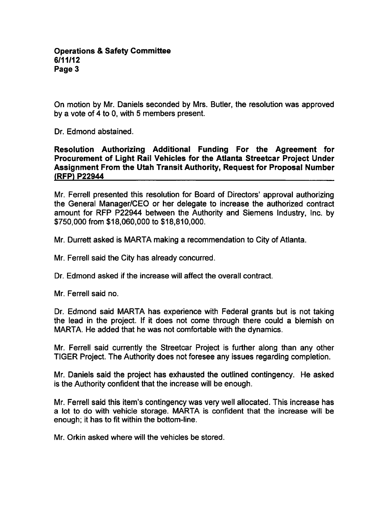On motion by Mr. Daniels seconded by Mrs. Butler, the resolution was approved by a vote of 4 to 0, with 5 members present.

Dr. Edmond abstained.

### Resolution Authorizing Additional Funding For the Agreement for Procurement of Light Rail Vehicles for the Atlanta Streetcar Project Under Assignment From the Utah Transit Authority, Request for Proposal Number (RFP) P22944

Mr. Ferrell presented this resolution for Board of Directors' approval authorizing the General Manager/CEO or her delegate to increase the authorized contract amount for RFP P22944 between the Authority and Siemens Industry, Inc. by \$750,000 from \$18,060,000 to \$18,810,000.

Mr. Durrett asked is MARTA making a recommendation to City of Atlanta.

Mr. Ferrell said the City has already concurred.

Dr. Edmond asked if the increase will affect the overall contract.

Mr. Ferrell said no.

Dr. Edmond said MARTA has experience with Federal grants but is not taking the lead in the project. If it does not come through there could a blemish on MARTA. He added that he was not comfortable with the dynamics.

Mr. Ferrell said currently the Streetcar Project is further along than any other TIGER Project. The Authority does not foresee any issues regarding completion.

Mr. Daniels said the project has exhausted the outlined contingency. He asked is the Authority confident that the increase will be enough.

Mr. Ferrell said this item's contingency was very well allocated. This increase has a lot to do with vehicle storage. MARTA is confident that the increase will be enough; it has to fit within the bottom-line.

Mr. Orkin asked where will the vehicles be stored.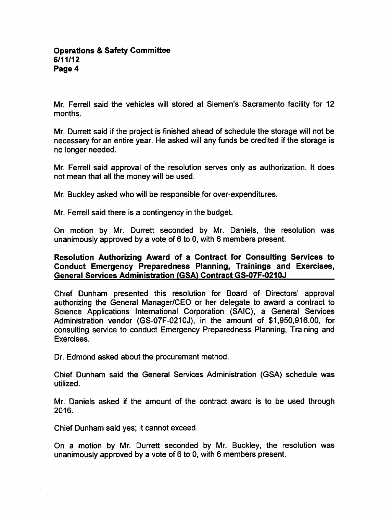Mr. Ferrell said the vehicles will stored at Siemen's Sacramento facility for 12 months.

Mr. Durrett said if the project is finished ahead of schedule the storage will not be necessary for an entire year. He asked will any funds be credited if the storage is no longer needed.

Mr. Ferrell said approval of the resolution serves only as authorization. It does not mean that all the money will be used.

Mr. Buckley asked who will be responsible for over-expenditures.

Mr. Ferrell said there is a contingency in the budget.

On motion by Mr. Durrett seconded by Mr. Daniels, the resolution was unanimously approved by a vote of 6 to 0, with 6 members present.

### Resolution Authorizing Award of a Contract for Consulting Services to Conduct Emergency Preparedness Planning, Trainings and Exercises, General Services Administration (GSA) Contract GS-07F-0210J

Chief Dunham presented this resolution for Board of Directors' approval authorizing the General Manager/CEO or her delegate to award a contract to Science Applications International Corporation (SAIC), a General Services Administration vendor (GS-07F-0210J), in the amount of \$1,950,916.00, for consulting service to conduct Emergency Preparedness Planning, Training and Exercises.

Dr. Edmond asked about the procurement method.

Chief Dunham said the General Services Administration (GSA) schedule was utilized.

Mr. Daniels asked if the amount of the contract award is to be used through 2016.

Chief Dunham said yes; it cannot exceed.

On a motion by Mr. Durrett seconded by Mr. Buckley, the resolution was unanimously approved by a vote of  $6$  to 0, with  $6$  members present.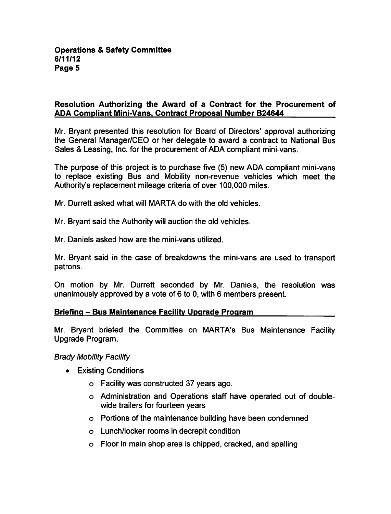## Resolution Authorizing the Award of a Contract for the Procurement of ADA Compliant Mini-Vans. Contract Proposal Number B24644

Mr. Bryant presented this resolution for Board of Directors' approval authorizing the General Manager/CEO or her delegate to award a contract to National Bus Sales & Leasing, Inc. for the procurement of ADA compliant mini-vans.

The purpose of this project is to purchase five (5) new ADA compliant mini-vans to replace existing Bus and Mobility non-revenue vehicles which meet the Authority's replacement mileage criteria of over 100,000 miles.

Mr. Durrett asked what will MARTA do with the old vehicles.

- Mr. Bryant said the Authority will auction the old vehicles.
- Mr. Daniels asked how are the mini-vans utilized.

Mr. Bryant said in the case of breakdowns the mini-vans are used to transport patrons.

On motion by Mr. Durrett seconded by Mr. Daniels, the resolution was unanimously approved by a vote of  $6$  to 0, with  $6$  members present.

#### Briefing - Bus Maintenance Facility Upgrade Program

Mr. Bryant briefed the Committee on MARTA's Bus Maintenance Facility Upgrade Program.

# Brady Mobility Facility

- Existing Conditions
	- Facility was constructed 37 years ago.
	- Administration and Operations staff have operated out of doublewide trailers for fourteen years
	- Portions of the maintenance building have been condemned
	- Lunch/locker rooms in decrepit condition
	- Floor in main shop area is chipped, cracked, and spalling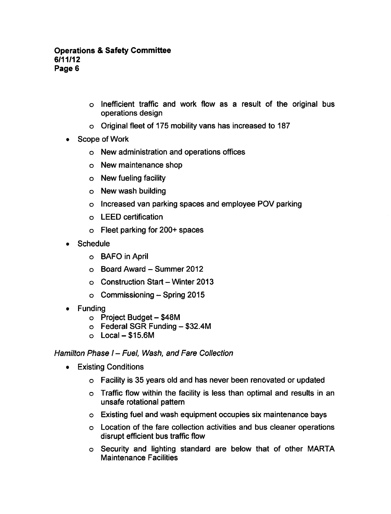- Inefficient traffic and work flow as a result of the original bus operations design
- Original fleet of 175 mobility vans has increased to 187
- Scope of Work
	- New administration and operations offices
	- New maintenance shop
	- New fueling facility
	- New wash building
	- o Increased van parking spaces and employee POV parking
	- LEED certification
	- Fleet parking for 200+ spaces
- Schedule
	- BAFO in April
	- $\circ$  Board Award Summer 2012
	- $\circ$  Construction Start Winter 2013
	- $\circ$  Commissioning Spring 2015
- Funding
	- $\circ$  Project Budget \$48M
	- $\circ$  Federal SGR Funding  $-$  \$32.4M
	- $\circ$  Local \$15.6M

#### Hamilton Phase  $I$  – Fuel, Wash, and Fare Collection

- Existing Conditions  $\bullet$ 
	- Facility is 35 years old and has never been renovated or updated
	- Traffic flow within the facility is less than optimal and results in an unsafe rotational pattern
	- Existing fuel and wash equipment occupies six maintenance bays
	- Location of the fare collection activities and bus cleaner operations disrupt efficient bus traffic flow
	- Security and lighting standard are below that of other MARTA Maintenance Facilities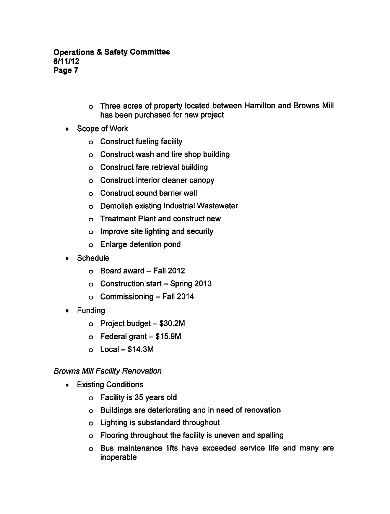- Three acres of property located between Hamilton and Browns Mill has been purchased for new project
- Scope of Work
	- Construct fueling facility
	- Construct wash and tire shop building
	- Construct fare retrieval building
	- Construct interior cleaner canopy
	- Construct sound barrier wall
	- Demolish existing Industrial Wastewater
	- Treatment Plant and construct new
	- Improve site lighting and security
	- Enlarge detention pond
- Schedule  $\bullet$ 
	- $\circ$  Board award Fall 2012
	- $\circ$  Construction start Spring 2013
	- $\circ$  Commissioning Fall 2014
- Funding  $\bullet$ 
	- $\circ$  Project budget  $-$  \$30.2M
	- $\circ$  Federal grant  $-$  \$15.9M
	- $\circ$  Local \$14.3M

# Browns Mill Facility Renovation

- Existing Conditions
	- Facility is 35 years old
	- Buildings are deteriorating and in need of renovation
	- Lighting is substandard throughout
	- Flooring throughout the facility is uneven and spalling
	- Bus maintenance lifts have exceeded service life and many are inoperable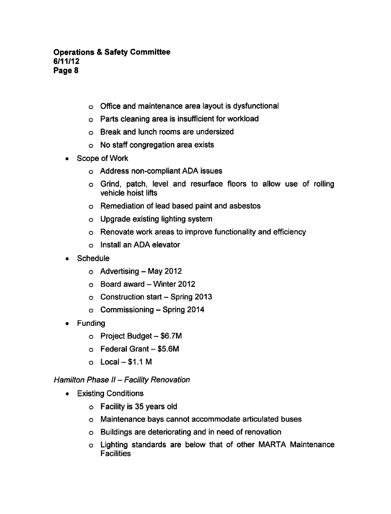- Office and maintenance area layout is dysfunctional
- Parts cleaning area is insufficient for workload
- Break and lunch rooms are undersized
- No staff congregation area exists
- Scope of Work  $\bullet$ 
	- Address non-compliant ADA issues
	- Grind, patch, level and resurface floors to allow use of rolling vehicle hoist lifts
	- Remediation of lead based paint and asbestos
	- Upgrade existing lighting system
	- Renovate work areas to improve functionality and efficiency
	- Install an ADA elevator
- **Schedule** 
	- Advertising-May 2012
	- $\circ$  Board award Winter 2012
	- $\circ$  Construction start Spring 2013
	- $\circ$  Commissioning Spring 2014
- Funding  $\bullet$ 
	- $\circ$  Project Budget \$6.7M
	- $\circ$  Federal Grant  $-$  \$5.6M
	- $\circ$  Local \$1.1 M

# Hamilton Phase  $II$  - Facility Renovation

- **•** Existing Conditions
	- Facility is 35 years old
	- Maintenance bays cannot accommodate articulated buses
	- Buildings are deteriorating and in need of renovation
	- Lighting standards are below that of other MARTA Maintenance **Facilities**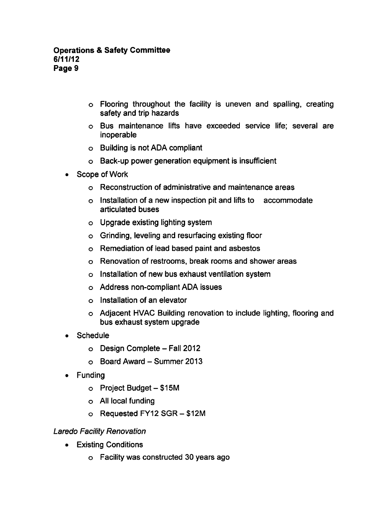- Flooring throughout the facility is uneven and spalling, creating safety and trip hazards
- Bus maintenance lifts have exceeded service life; several are inoperable
- Building is not ADA compliant
- Back-up power generation equipment is insufficient
- Scope of Work  $\bullet$ 
	- Reconstruction of administrative and maintenance areas
	- $\circ$  Installation of a new inspection pit and lifts to accommodate articulated buses
	- o Upgrade existing lighting system
	- Grinding, leveling and resurfacing existing floor
	- Remediation of lead based paint and asbestos
	- Renovation of restrooms, break rooms and shower areas
	- $\circ$  Installation of new bus exhaust ventilation system
	- Address non-compliant ADA issues
	- Installation of an elevator
	- Adjacent HVAC Building renovation to include lighting, flooring and bus exhaust system upgrade
- **Schedule**  $\bullet$ 
	- o Design Complete Fall 2012
	- $\circ$  Board Award Summer 2013
- Funding
	- $\circ$  Project Budget \$15M
	- All local funding
	- Requested FY12 SGR \$12M

# Laredo Facility Renovation

- Existing Conditions
	- Facility was constructed 30 years ago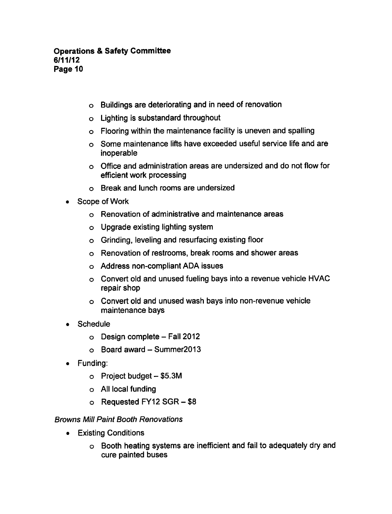- Buildings are deteriorating and in need of renovation
- Lighting is substandard throughout
- Flooring within the maintenance facility is uneven and spalling
- Some maintenance lifts have exceeded useful service life and are inoperable
- Office and administration areas are undersized and do not flow for efficient work processing
- Break and lunch rooms are undersized
- Scope of Work  $\bullet$ 
	- Renovation of administrative and maintenance areas
	- Upgrade existing lighting system
	- Grinding, leveling and resurfacing existing floor
	- Renovation of restrooms, break rooms and shower areas
	- Address non-compliant ADA issues
	- o Convert old and unused fueling bays into a revenue vehicle HVAC repair shop
	- Convert old and unused wash bays into non-revenue vehicle maintenance bays
- **Schedule** 
	- $\circ$  Design complete Fall 2012
	- $\circ$  Board award Summer2013
- Funding:
	- $\circ$  Project budget  $-$  \$5.3M
	- All local funding
	- o Requested FY12 SGR \$8

# Browns Mill Paint Booth Renovations

- Existing Conditions  $\bullet$ 
	- Booth heating systems are inefficient and fail to adequately dry and cure painted buses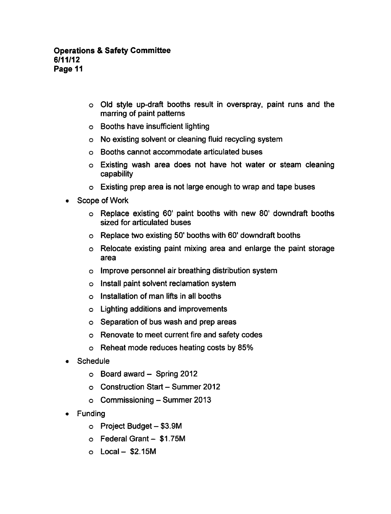- Old style up-draft booths result in overspray, paint runs and the marring of paint patterns
- Booths have insufficient lighting
- No existing solvent or cleaning fluid recycling system
- Booths cannot accommodate articulated buses
- Existing wash area does not have hot water or steam cleaning capability
- Existing prep area is not large enough to wrap and tape buses
- Scope of Work  $\bullet$ 
	- Replace existing 60' paint booths with new 80' downdraft booths sized for articulated buses
	- Replace two existing 50' booths with 60' downdraft booths
	- Relocate existing paint mixing area and enlarge the paint storage area
	- Improve personnel air breathing distribution system
	- Install paint solvent reclamation system
	- Installation of man lifts in all booths
	- Lighting additions and improvements
	- o Separation of bus wash and prep areas
	- Renovate to meet current fire and safety codes
	- Reheat mode reduces heating costs by 85%
- **Schedule** 
	- $\circ$  Board award  $\sim$  Spring 2012
	- o Construction Start Summer 2012
	- $\circ$  Commissioning Summer 2013
- Funding  $\bullet$ 
	- $\circ$  Project Budget  $-$  \$3.9M
	- $\circ$  Federal Grant \$1.75M
	- $O$  Local \$2.15M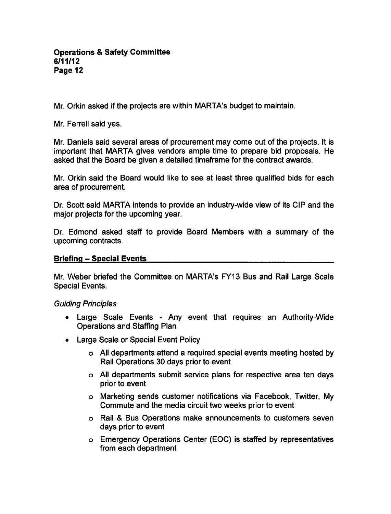Mr. Orkin asked if the projects are within MARTA's budget to maintain.

Mr. Ferrell said yes.

Mr. Daniels said several areas of procurement may come out of the projects. It is important that MARTA gives vendors ample time to prepare bid proposals. He asked that the Board be given a detailed timeframe for the contract awards.

Mr. Orkin said the Board would like to see at least three qualified bids for each area of procurement.

Dr. Scott said MARTA intends to provide an industry-wide view of its CIP and the major projects for the upcoming year.

Dr. Edmond asked staff to provide Board Members with a summary of the upcoming contracts.

#### Briefing - Special Events

Mr. Weber briefed the Committee on MARTA's FY13 Bus and Rail Large Scale Special Events.

# Guiding Principles

- Large Scale Events Any event that requires an Authority-Wide Operations and Staffing Plan
- Large Scale or Special Event Policy
	- $\circ$  All departments attend a required special events meeting hosted by Rail Operations 30 days prior to event
	- All departments submit service plans for respective area ten days prior to event
	- Marketing sends customer notifications via Facebook, Twitter, My Commute and the media circuit two weeks prior to event
	- o Rail & Bus Operations make announcements to customers seven days prior to event
	- Emergency Operations Center (EOC) is staffed by representatives from each department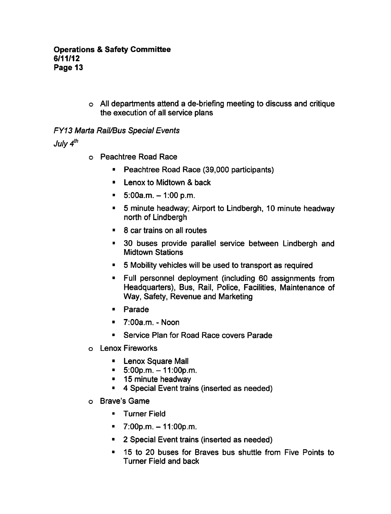o All departments attend a de-briefing meeting to discuss and critique the execution of all service plans

# **FY13 Marta Rail/Bus Special Events**

July  $4^{th}$ 

- Peachtree Road Race
	- **Peachtree Road Race (39,000 participants)**
	- $\blacksquare$  Lenox to Midtown & back
	- $\blacksquare$  5:00a.m. 1:00 p.m.
	- $\blacksquare$ minute headway; Airport to Lindbergh, 10 minute headway north of Lindbergh
	- $\approx$  8 car trains on all routes
	- 30 buses provide parallel service between Lindbergh and  $\blacksquare$ Midtown Stations
	- $\blacksquare$ Mobility vehicles will be used to transport as required
	- Full personnel deployment (including 60 assignments from Headquarters), Bus, Rail, Police, Facilities, Maintenance of Way, Safety, Revenue and Marketing
	- Parade
	- $\blacksquare$  7:00a.m. Noon
	- Service Plan for Road Race covers Parade  $\blacksquare$
- Lenox Fireworks
	- **E** Lenox Square Mall
	- $= 5:00p.m. -11:00p.m.$
	- **15 minute headway**
	- **4 Special Event trains (inserted as needed)**
- Brave's Game
	- **F** Turner Field
	- $\blacksquare$  7:00p.m. 11:00p.m.
	- 2 Special Event trains (inserted as needed)
	- 15 to 20 buses for Braves bus shuttle from Five Points to Turner Field and back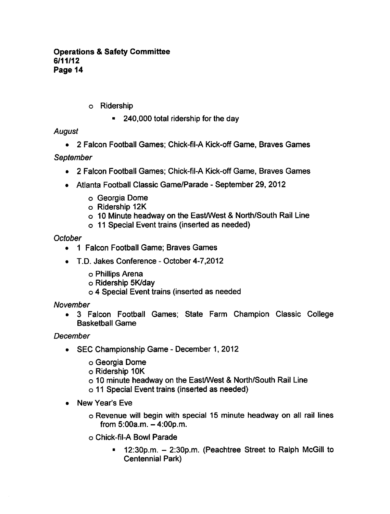- Ridership
	- 240,000 total ridership for the day

# August

• 2 Falcon Football Games; Chick-fil-A Kick-off Game, Braves Games

# September

- 2 Falcon Football Games; Chick-fil-A Kick-off Game, Braves Games
- Atlanta Football Classic Game/Parade September 29, 2012
	- Georgia Dome
	- Ridership 12K
	- $\circ$  10 Minute headway on the East/West & North/South Rail Line
	- 11 Special Event trains (inserted as needed)

# **October**

- 1 Falcon Football Game; Braves Games  $\bullet$
- T.D. Jakes Conference October 4-7,2012  $\bullet$ 
	- Phillips Arena
	- Ridership 5K/day
	- o 4 Special Event trains (inserted as needed

# November

Falcon Football Games; State Farm Champion Classic College  $\bullet$ Basketball Game

# December

- SEC Championship Game December 1, 2012
	- Georgia Dome
	- Ridership 10K
	- o 10 minute headway on the East/West & North/South Rail Line
	- 11 Special Event trains (inserted as needed)
- New Year's Eve  $\bullet$ 
	- Revenue will begin with special 15 minute headway on all rail lines from  $5:00a.m. - 4:00p.m.$
	- Chick-fil-A Bowl Parade
		- 12:30p.m. 2:30p.m. (Peachtree Street to Ralph McGill to  $\blacksquare$ Centennial Park)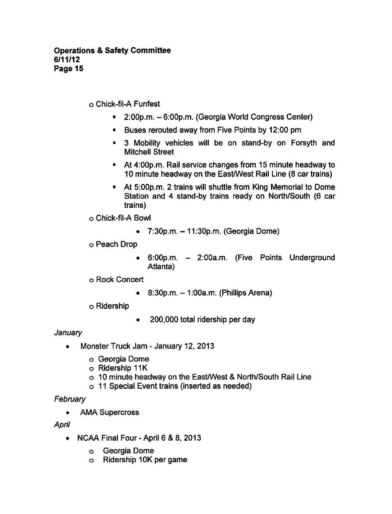Chick-fil-A Funfest

- $= 2:00p.m. 6:00p.m.$  (Georgia World Congress Center)
- **Buses rerouted away from Five Points by 12:00 pm**
- **3** Mobility vehicles will be on stand-by on Forsyth and Mitchell Street
- At 4:00p.m. Rail service changes from 15 minute headway to 10 minute headway on the East/West Rail Line (8 car trains)
- At 5:00p.m. 2 trains will shuttle from King Memorial to Dome  $\blacksquare$ Station and 4 stand-by trains ready on North/South (6 car trains)

Chick-fil-A Bowl

 $\bullet$  7:30p.m.  $-$  11:30p.m. (Georgia Dome)

Peach Drop

- 6:00p.m. 2:00a.m. (Five Points Underground Atlanta)
- Rock Concert
	- $\bullet$  8:30p.m.  $-1:00$ a.m. (Phillips Arena)
- Ridership
- 200,000 total ridership per day  $\bullet$

# **January**

- Monster Truck Jam January 12, 2013
	- Georgia Dome
	- Ridership 11K
	- o 10 minute headway on the East/West & North/South Rail Line
	- 11 Special Event trains (inserted as needed)

# **February**

AMA Supercross  $\bullet$ 

# April

- NCAA Final Four April  $6, 8, 8, 2013$ 
	- Georgia Dome  $\overline{O}$
	- Ridership 10K per game $\circ$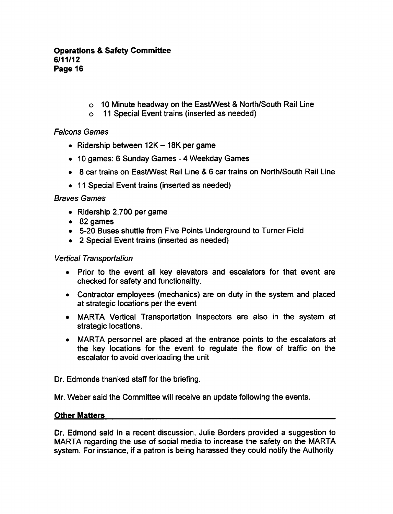- $\circ$  10 Minute headway on the East/West & North/South Rail Line
- 11 Special Event trains (inserted as needed)

# Falcons Games

- Ridership between  $12K 18K$  per game
- 10 games: 6 Sunday Games 4 Weekday Games
- 8 car trains on East/West Rail Line & 6 car trains on North/South Rail Line
- 11 Special Event trains (inserted as needed)

# Braves Games

- $\bullet$  Ridership 2,700 per game
- 82 games
- 5-20 Buses shuttle from Five Points Underground to Turner Field
- 2 Special Event trains (inserted as needed)

# Vertical Transportation

- Prior to the event all key elevators and escalators for that event are checked for safety and functionality.
- Contractor employees (mechanics) are on duty in the system and placed at strategic locations per the event
- MARTA Vertical Transportation Inspectors are also in the system at strategic locations.
- MARTA personnel are placed at the entrance points to the escalators at the key locations for the event to regulate the flow of traffic on the escalator to avoid overloading the unit

Dr. Edmonds thanked staff for the briefing.

Mr. Weber said the Committee will receive an update following the events.

# Other Matters

Dr. Edmond said in a recent discussion, Julie Borders provided a suggestion to MARTA regarding the use of social media to increase the safety on the MARTA system. For instance, if a patron is being harassed they could notify the Authority